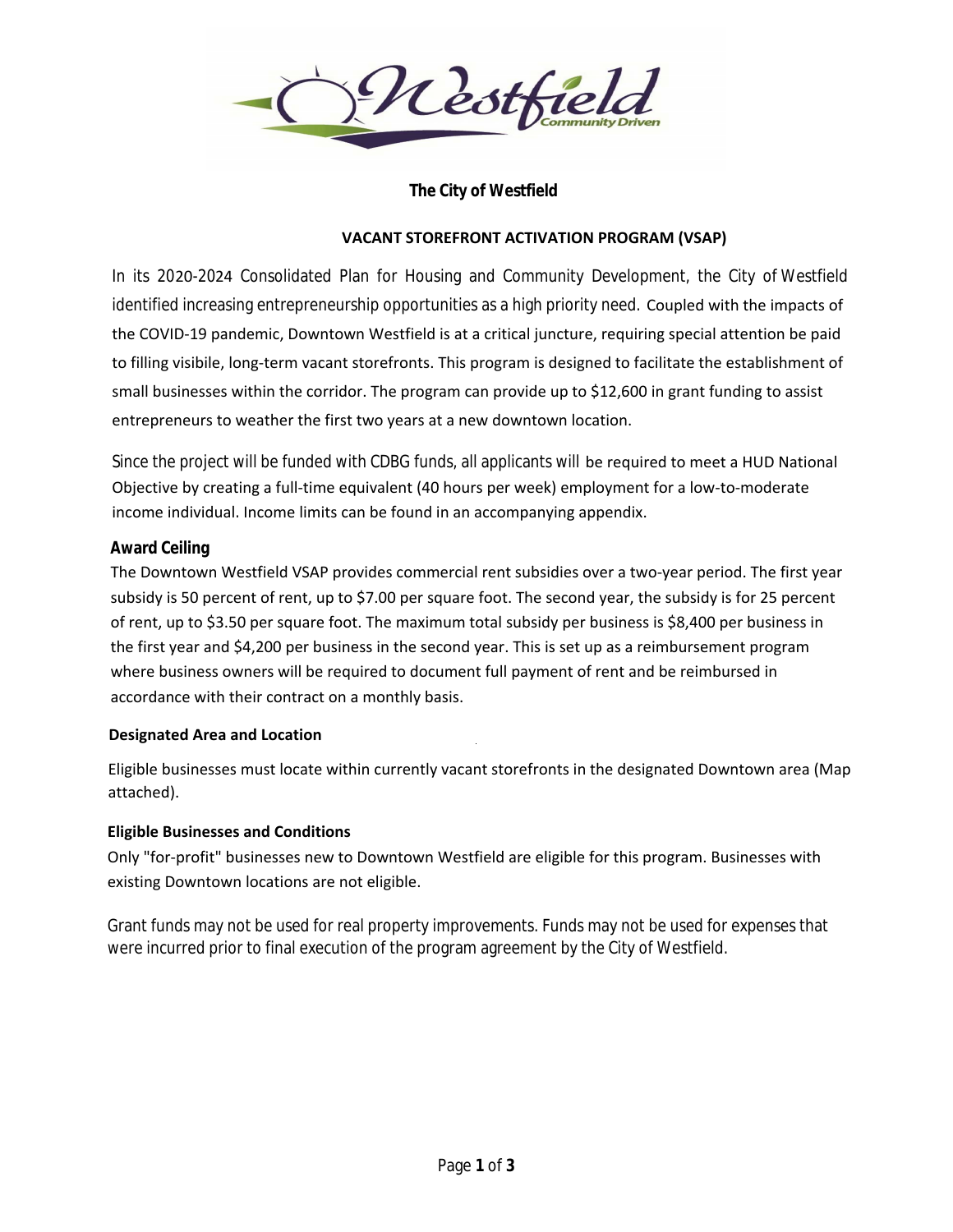

## **The City of Westfield**

### **VACANT STOREFRONT ACTIVATION PROGRAM (VSAP)**

In its 2020-2024 Consolidated Plan for Housing and Community Development, the City of Westfield identified increasing entrepreneurship opportunities as a high priority need. Coupled with the impacts of the COVID‐19 pandemic, Downtown Westfield is at a critical juncture, requiring special attention be paid to filling visibile, long‐term vacant storefronts. This program is designed to facilitate the establishment of small businesses within the corridor. The program can provide up to \$12,600 in grant funding to assist entrepreneurs to weather the first two years at a new downtown location.

Since the project will be funded with CDBG funds, all applicants will be required to meet a HUD National  $\,$ Objective by creating a full‐time equivalent (40 hours per week) employment for a low‐to‐moderate income individual. Income limits can be found in an accompanying appendix.

### **Award Ceiling**

The Downtown Westfield VSAP provides commercial rent subsidies over a two-year period. The first year subsidy is 50 percent of rent, up to \$7.00 per square foot. The second year, the subsidy is for 25 percent of rent, up to \$3.50 per square foot. The maximum total subsidy per business is \$8,400 per business in the first year and \$4,200 per business in the second year. This is set up as a reimbursement program where business owners will be required to document full payment of rent and be reimbursed in accordance with their contract on a monthly basis.

### **Designated Area and Location**

Eligible businesses must locate within currently vacant storefronts in the designated Downtown area (Map attached).

### **Eligible Businesses and Conditions**

Only "for‐profit" businesses new to Downtown Westfield are eligible for this program. Businesses with existing Downtown locations are not eligible.

Grant funds may not be used for real property improvements. Funds may not be used for expenses that were incurred prior to final execution of the program agreement by the City of Westfield.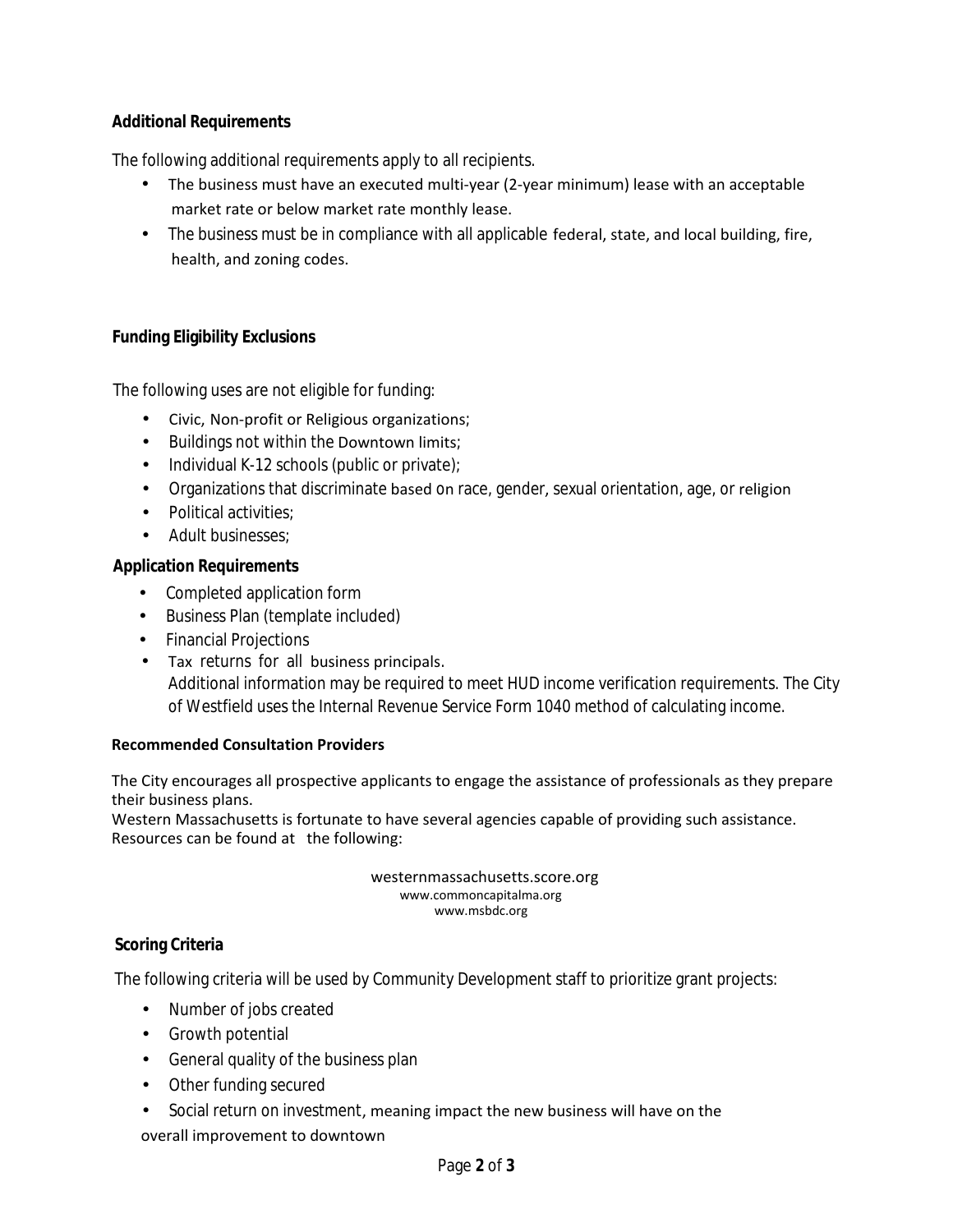# **Additional Requirements**

## The following additional requirements apply to all recipients.

- The business must have an executed multi‐year (2‐year minimum) lease with an acceptable market rate or below market rate monthly lease. •
- The business must be in compliance with all applicable federal, state, and local building, fire, health, and zoning codes.

# **Funding Eligibility Exclusions**

The following uses are not eligible for funding:

- Civic, Non‐profit or Religious organizations;
- Buildings not within the Downtown limits;
- Individual K-12 schools (public or private);
- Organizations that discriminate based on race, gender, sexual orientation, age, or religion
- Political activities;
- Adult businesses:

### **Application Requirements**

- Completed application form
- Business Plan (template included)
- Financial Projections
- Tax returns for all business principals. Additional information may be required to meet HUD income verification requirements. The City of Westfield uses the Internal Revenue Service Form 1040 method of calculating income.

### **Recommended Consultation Providers**

The City encourages all prospective applicants to engage the assistance of professionals as they prepare their business plans.

Western Massachusetts is fortunate to have several agencies capable of providing such assistance. Resources can be found at the following:

> westernmassachusetts.score.org www.commoncapitalma.org www.msbdc.org

### **Scoring Criteria**

The following criteria will be used by Community Development staff to prioritize grant projects:

- Number of jobs created
- Growth potential
- General quality of the business plan
- Other funding secured
- Social return on investment, meaning impact the new business will have on the overall improvement to downtown